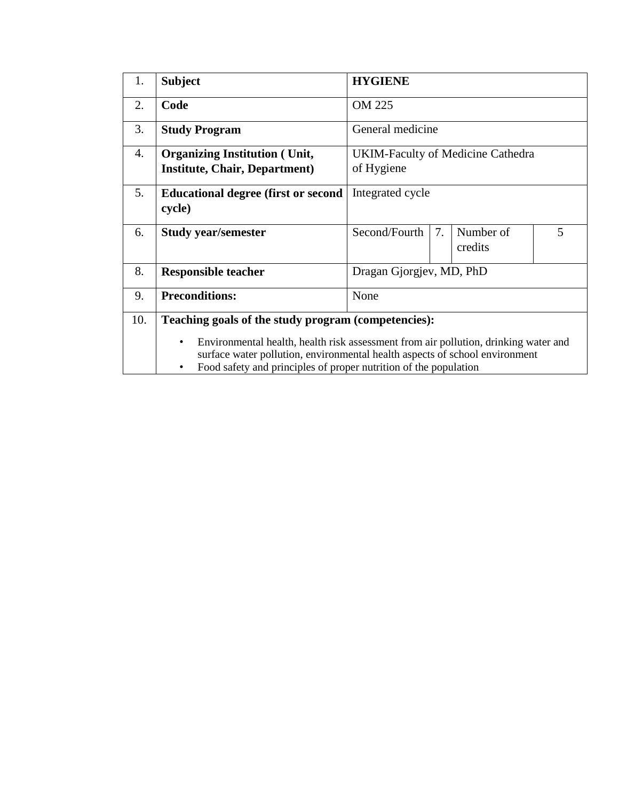| 1.  | <b>Subject</b>                                                                                                                                                                                                                              | <b>HYGIENE</b>                                   |  |  |  |  |  |  |
|-----|---------------------------------------------------------------------------------------------------------------------------------------------------------------------------------------------------------------------------------------------|--------------------------------------------------|--|--|--|--|--|--|
| 2.  | Code                                                                                                                                                                                                                                        | OM 225                                           |  |  |  |  |  |  |
| 3.  | <b>Study Program</b>                                                                                                                                                                                                                        | General medicine                                 |  |  |  |  |  |  |
| 4.  | <b>Organizing Institution (Unit,</b>                                                                                                                                                                                                        | <b>UKIM-Faculty of Medicine Cathedra</b>         |  |  |  |  |  |  |
|     | <b>Institute, Chair, Department)</b>                                                                                                                                                                                                        | of Hygiene                                       |  |  |  |  |  |  |
| 5.  | <b>Educational degree (first or second)</b><br>cycle)                                                                                                                                                                                       | Integrated cycle                                 |  |  |  |  |  |  |
| 6.  | <b>Study year/semester</b>                                                                                                                                                                                                                  | Second/Fourth<br>7.<br>Number of<br>5<br>credits |  |  |  |  |  |  |
| 8.  | <b>Responsible teacher</b>                                                                                                                                                                                                                  | Dragan Gjorgjev, MD, PhD                         |  |  |  |  |  |  |
| 9.  | <b>Preconditions:</b>                                                                                                                                                                                                                       | None                                             |  |  |  |  |  |  |
| 10. | Teaching goals of the study program (competencies):                                                                                                                                                                                         |                                                  |  |  |  |  |  |  |
|     | Environmental health, health risk assessment from air pollution, drinking water and<br>٠<br>surface water pollution, environmental health aspects of school environment<br>Food safety and principles of proper nutrition of the population |                                                  |  |  |  |  |  |  |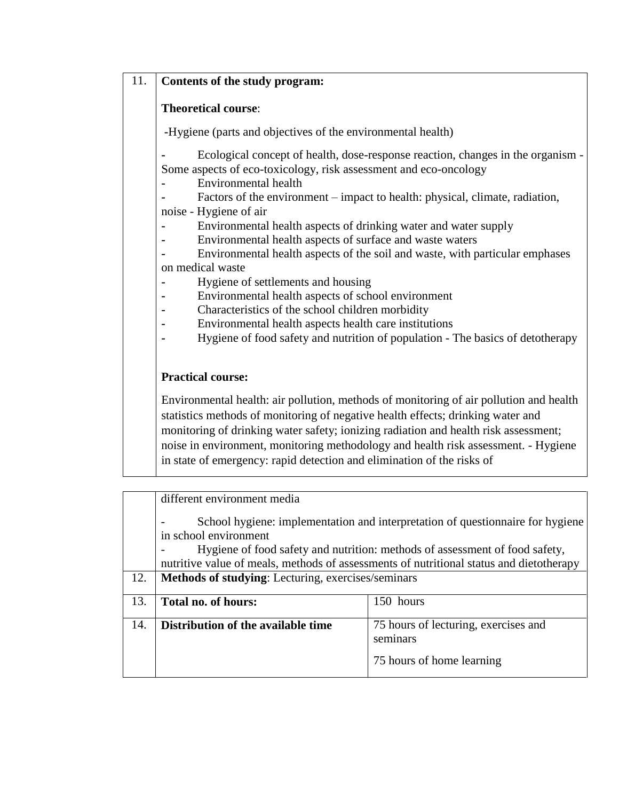## 11. **Contents of the study program:**

## **Theoretical course**:

**-**Hygiene (parts and objectives of the environmental health)

**-** Ecological concept of health, dose-response reaction, changes in the organism - Some aspects of eco-toxicology, risk assessment and eco-oncology

**-** Environmental health

**-** Factors of the environment – impact to health: physical, climate, radiation, noise - Hygiene of air

- **-** Environmental health aspects of drinking water and water supply
- **-** Environmental health aspects of surface and waste waters
- **-** Environmental health aspects of the soil and waste, with particular emphases on medical waste
- **-** Hygiene of settlements and housing
- **-** Environmental health aspects of school environment
- **-** Characteristics of the school children morbidity
- **-** Environmental health aspects health care institutions
- **-** Hygiene of food safety and nutrition of population The basics of detotherapy

## **Practical course:**

Environmental health: air pollution, methods of monitoring of air pollution and health statistics methods of monitoring of negative health effects; drinking water and monitoring of drinking water safety; ionizing radiation and health risk assessment; noise in environment, monitoring methodology and health risk assessment. - Hygiene in state of emergency: rapid detection and elimination of the risks of

|     | different environment media                                                                             |                                                                                         |  |  |  |  |  |  |
|-----|---------------------------------------------------------------------------------------------------------|-----------------------------------------------------------------------------------------|--|--|--|--|--|--|
|     | School hygiene: implementation and interpretation of questionnaire for hygiene<br>in school environment |                                                                                         |  |  |  |  |  |  |
|     |                                                                                                         | Hygiene of food safety and nutrition: methods of assessment of food safety,             |  |  |  |  |  |  |
|     |                                                                                                         | nutritive value of meals, methods of assessments of nutritional status and dietotherapy |  |  |  |  |  |  |
| 12. | Methods of studying: Lecturing, exercises/seminars                                                      |                                                                                         |  |  |  |  |  |  |
| 13. | Total no. of hours:                                                                                     | 150 hours                                                                               |  |  |  |  |  |  |
| 14. | Distribution of the available time                                                                      | 75 hours of lecturing, exercises and<br>seminars                                        |  |  |  |  |  |  |
|     |                                                                                                         | 75 hours of home learning                                                               |  |  |  |  |  |  |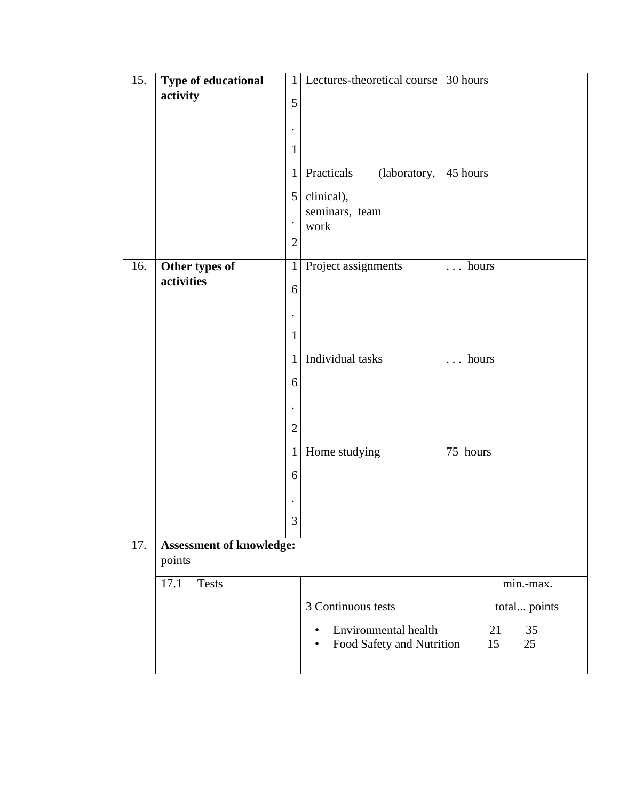| 15. | Type of educational             | $\mathbf{1}$   | Lectures-theoretical course      | 30 hours           |
|-----|---------------------------------|----------------|----------------------------------|--------------------|
|     | activity                        | 5              |                                  |                    |
|     |                                 |                |                                  |                    |
|     |                                 |                |                                  |                    |
|     |                                 | $\mathbf{1}$   |                                  |                    |
|     |                                 | $\mathbf{1}$   | Practicals<br>(laboratory,       | 45 hours           |
|     |                                 | 5 <sup>1</sup> | clinical),                       |                    |
|     |                                 | $\bullet$      | seminars, team<br>work           |                    |
|     |                                 | $\overline{2}$ |                                  |                    |
| 16. |                                 | $\mathbf{1}$   |                                  | $\ldots$ hours     |
|     | Other types of<br>activities    |                | Project assignments              |                    |
|     |                                 | 6              |                                  |                    |
|     |                                 |                |                                  |                    |
|     |                                 | $\mathbf{1}$   |                                  |                    |
|     |                                 | $\mathbf{1}$   | Individual tasks                 | hours<br>$\ddotsc$ |
|     |                                 | 6              |                                  |                    |
|     |                                 |                |                                  |                    |
|     |                                 | $\overline{2}$ |                                  |                    |
|     |                                 |                |                                  |                    |
|     |                                 | $\mathbf{1}$   | Home studying                    | 75 hours           |
|     |                                 | 6              |                                  |                    |
|     |                                 |                |                                  |                    |
|     |                                 | 3              |                                  |                    |
| 17. | <b>Assessment of knowledge:</b> |                |                                  |                    |
|     | points                          |                |                                  |                    |
|     | 17.1<br><b>Tests</b>            |                |                                  | min.-max.          |
|     |                                 |                | 3 Continuous tests               | total points       |
|     |                                 |                | <b>Environmental health</b><br>٠ | 21<br>35           |
|     |                                 |                | Food Safety and Nutrition        | 15<br>25           |
|     |                                 |                |                                  |                    |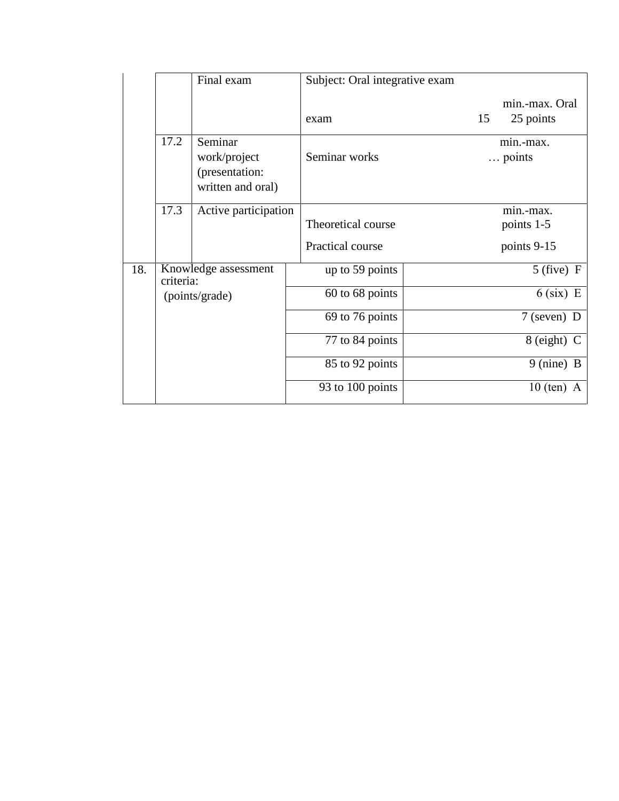|     |                                                                                                        | Final exam | Subject: Oral integrative exam |                                   |
|-----|--------------------------------------------------------------------------------------------------------|------------|--------------------------------|-----------------------------------|
|     |                                                                                                        |            | exam                           | min.-max. Oral<br>25 points<br>15 |
|     | 17.2<br>Seminar<br>work/project<br>(presentation:<br>written and oral)<br>17.3<br>Active participation |            | Seminar works                  | $min_{\text{max}}$ .<br>points    |
|     |                                                                                                        |            | Theoretical course             | min.-max.<br>points 1-5           |
|     |                                                                                                        |            | Practical course               | points 9-15                       |
| 18. | Knowledge assessment<br>criteria:<br>(points/grade)                                                    |            | up to 59 points                | $5$ (five) F                      |
|     |                                                                                                        |            | 60 to 68 points                | $6$ (six) E                       |
|     |                                                                                                        |            | 69 to 76 points                | $7$ (seven) D                     |
|     |                                                                                                        |            | 77 to 84 points                | 8 (eight) C                       |
|     |                                                                                                        |            | 85 to 92 points                | $9 \text{ (nine)} B$              |
|     |                                                                                                        |            | 93 to 100 points               | $10$ (ten)<br>A                   |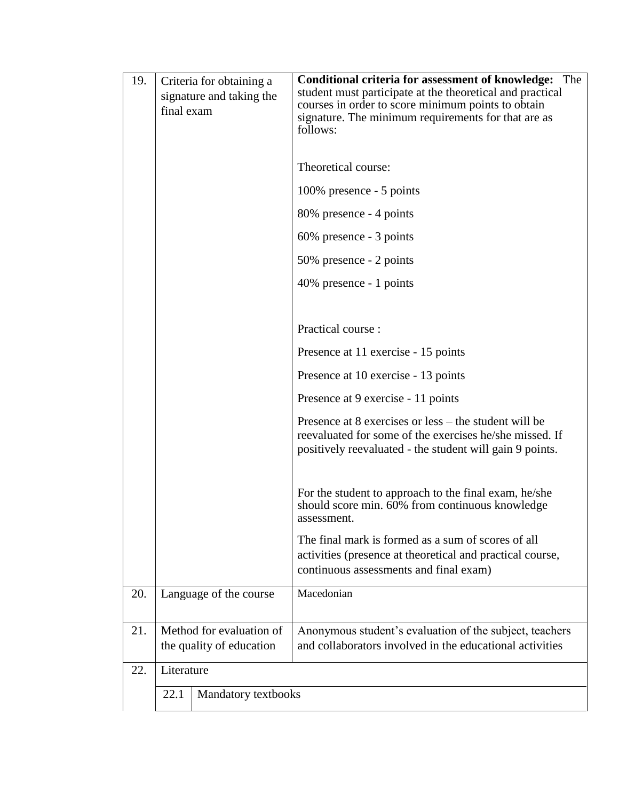| 19. | Criteria for obtaining a<br>signature and taking the<br>final exam | <b>Conditional criteria for assessment of knowledge:</b> The<br>student must participate at the theoretical and practical<br>courses in order to score minimum points to obtain<br>signature. The minimum requirements for that are as<br>follows:<br>Theoretical course:<br>100% presence - 5 points<br>80% presence - 4 points<br>60% presence - 3 points<br>50% presence - 2 points<br>40% presence - 1 points<br>Practical course:<br>Presence at 11 exercise - 15 points<br>Presence at 10 exercise - 13 points<br>Presence at 9 exercise - 11 points<br>Presence at 8 exercises or less – the student will be<br>reevaluated for some of the exercises he/she missed. If<br>positively reevaluated - the student will gain 9 points.<br>For the student to approach to the final exam, he/she<br>should score min. 60% from continuous knowledge<br>assessment.<br>The final mark is formed as a sum of scores of all<br>activities (presence at theoretical and practical course,<br>continuous assessments and final exam) |  |  |  |
|-----|--------------------------------------------------------------------|------------------------------------------------------------------------------------------------------------------------------------------------------------------------------------------------------------------------------------------------------------------------------------------------------------------------------------------------------------------------------------------------------------------------------------------------------------------------------------------------------------------------------------------------------------------------------------------------------------------------------------------------------------------------------------------------------------------------------------------------------------------------------------------------------------------------------------------------------------------------------------------------------------------------------------------------------------------------------------------------------------------------------------|--|--|--|
|     |                                                                    |                                                                                                                                                                                                                                                                                                                                                                                                                                                                                                                                                                                                                                                                                                                                                                                                                                                                                                                                                                                                                                    |  |  |  |
| 20. | Language of the course                                             | Macedonian                                                                                                                                                                                                                                                                                                                                                                                                                                                                                                                                                                                                                                                                                                                                                                                                                                                                                                                                                                                                                         |  |  |  |
| 21. | Method for evaluation of<br>the quality of education               | Anonymous student's evaluation of the subject, teachers<br>and collaborators involved in the educational activities                                                                                                                                                                                                                                                                                                                                                                                                                                                                                                                                                                                                                                                                                                                                                                                                                                                                                                                |  |  |  |
|     |                                                                    |                                                                                                                                                                                                                                                                                                                                                                                                                                                                                                                                                                                                                                                                                                                                                                                                                                                                                                                                                                                                                                    |  |  |  |
| 22. | Literature                                                         |                                                                                                                                                                                                                                                                                                                                                                                                                                                                                                                                                                                                                                                                                                                                                                                                                                                                                                                                                                                                                                    |  |  |  |
|     | 22.1<br>Mandatory textbooks                                        |                                                                                                                                                                                                                                                                                                                                                                                                                                                                                                                                                                                                                                                                                                                                                                                                                                                                                                                                                                                                                                    |  |  |  |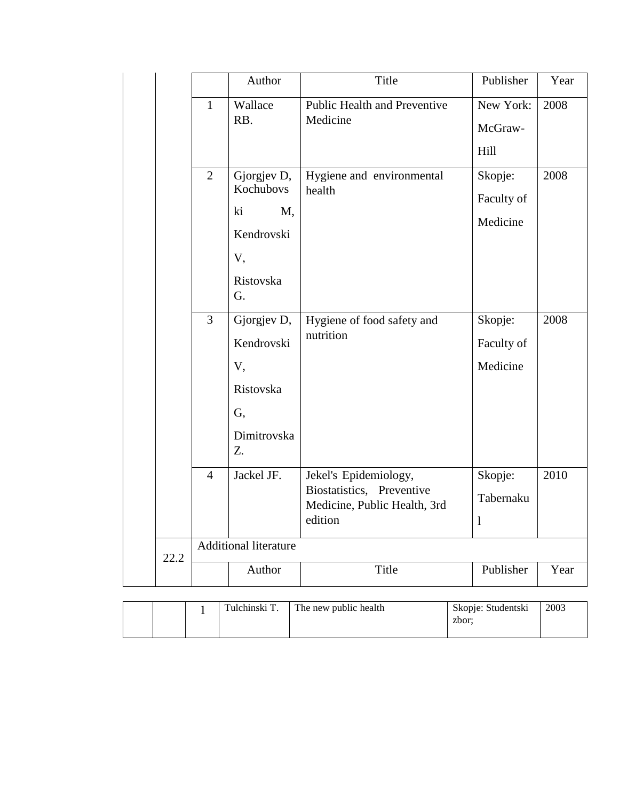|      |                | Author                                                                      | Title                                                                                         | Publisher                         | Year |
|------|----------------|-----------------------------------------------------------------------------|-----------------------------------------------------------------------------------------------|-----------------------------------|------|
|      | $\mathbf{1}$   | Wallace<br>RB.                                                              | Public Health and Preventive<br>Medicine                                                      | New York:<br>McGraw-<br>Hill      | 2008 |
|      | $\overline{2}$ | Gjorgjev D,<br>Kochubovs<br>ki<br>M,<br>Kendrovski<br>V,<br>Ristovska<br>G. | Hygiene and environmental<br>health                                                           | Skopje:<br>Faculty of<br>Medicine | 2008 |
|      | $\overline{3}$ | Gjorgjev D,<br>Kendrovski<br>V,<br>Ristovska<br>G,<br>Dimitrovska<br>Z.     | Hygiene of food safety and<br>nutrition                                                       | Skopje:<br>Faculty of<br>Medicine | 2008 |
|      | $\overline{4}$ | Jackel JF.                                                                  | Jekel's Epidemiology,<br>Biostatistics, Preventive<br>Medicine, Public Health, 3rd<br>edition | Skopje:<br>Tabernaku<br>1         | 2010 |
| 22.2 |                | <b>Additional literature</b>                                                |                                                                                               |                                   |      |
|      |                | Author                                                                      | Title                                                                                         | Publisher                         | Year |

|  | Tulchinski T. | The new public health | Skopje: Studentski<br>zbor: | 2003 |
|--|---------------|-----------------------|-----------------------------|------|
|  |               |                       |                             |      |